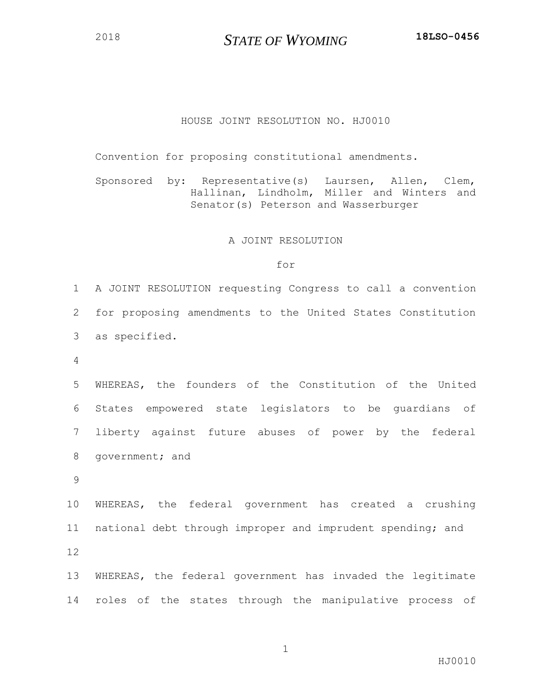## HOUSE JOINT RESOLUTION NO. HJ0010

Convention for proposing constitutional amendments.

Sponsored by: Representative(s) Laursen, Allen, Clem, Hallinan, Lindholm, Miller and Winters and Senator(s) Peterson and Wasserburger

## A JOINT RESOLUTION

## for

 A JOINT RESOLUTION requesting Congress to call a convention for proposing amendments to the United States Constitution as specified.

 WHEREAS, the founders of the Constitution of the United States empowered state legislators to be guardians of liberty against future abuses of power by the federal government; and

 WHEREAS, the federal government has created a crushing national debt through improper and imprudent spending; and 

 WHEREAS, the federal government has invaded the legitimate roles of the states through the manipulative process of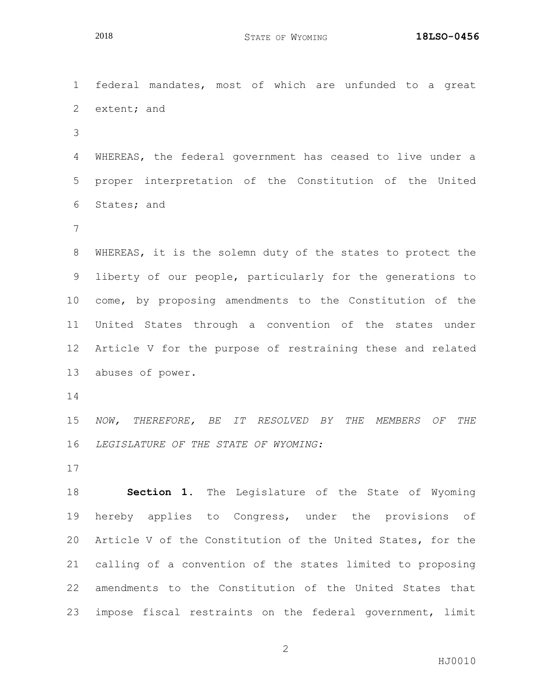federal mandates, most of which are unfunded to a great extent; and WHEREAS, the federal government has ceased to live under a proper interpretation of the Constitution of the United States; and WHEREAS, it is the solemn duty of the states to protect the liberty of our people, particularly for the generations to come, by proposing amendments to the Constitution of the United States through a convention of the states under Article V for the purpose of restraining these and related abuses of power. *NOW, THEREFORE, BE IT RESOLVED BY THE MEMBERS OF THE LEGISLATURE OF THE STATE OF WYOMING:* **Section 1.** The Legislature of the State of Wyoming hereby applies to Congress, under the provisions of Article V of the Constitution of the United States, for the calling of a convention of the states limited to proposing amendments to the Constitution of the United States that impose fiscal restraints on the federal government, limit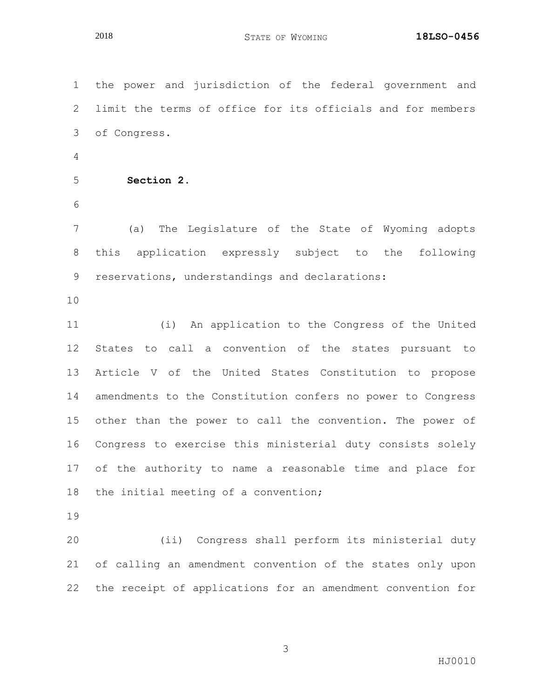the power and jurisdiction of the federal government and limit the terms of office for its officials and for members of Congress. **Section 2.** (a) The Legislature of the State of Wyoming adopts this application expressly subject to the following reservations, understandings and declarations: (i) An application to the Congress of the United States to call a convention of the states pursuant to Article V of the United States Constitution to propose amendments to the Constitution confers no power to Congress other than the power to call the convention. The power of Congress to exercise this ministerial duty consists solely of the authority to name a reasonable time and place for the initial meeting of a convention;

 (ii) Congress shall perform its ministerial duty of calling an amendment convention of the states only upon the receipt of applications for an amendment convention for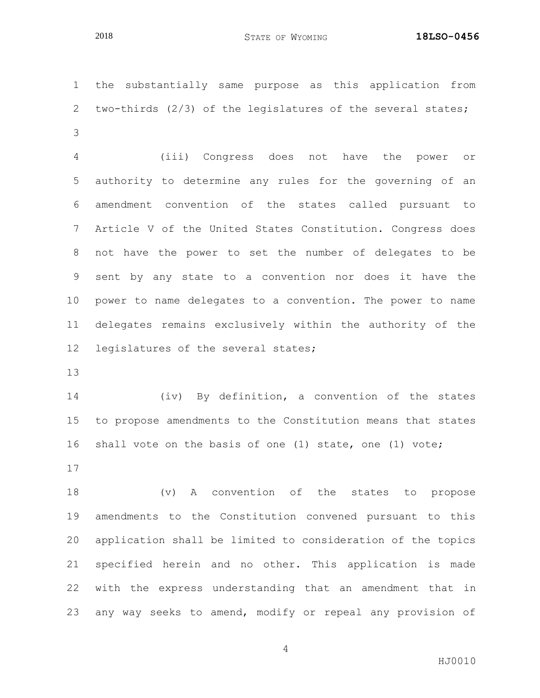the substantially same purpose as this application from two-thirds (2/3) of the legislatures of the several states; 

 (iii) Congress does not have the power or authority to determine any rules for the governing of an amendment convention of the states called pursuant to Article V of the United States Constitution. Congress does not have the power to set the number of delegates to be sent by any state to a convention nor does it have the power to name delegates to a convention. The power to name delegates remains exclusively within the authority of the legislatures of the several states;

 (iv) By definition, a convention of the states to propose amendments to the Constitution means that states shall vote on the basis of one (1) state, one (1) vote; 

 (v) A convention of the states to propose amendments to the Constitution convened pursuant to this application shall be limited to consideration of the topics specified herein and no other. This application is made with the express understanding that an amendment that in any way seeks to amend, modify or repeal any provision of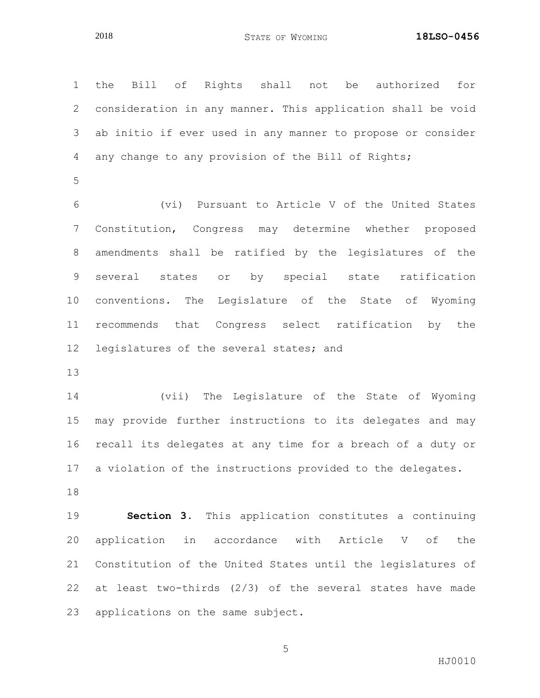the Bill of Rights shall not be authorized for consideration in any manner. This application shall be void ab initio if ever used in any manner to propose or consider any change to any provision of the Bill of Rights; (vi) Pursuant to Article V of the United States Constitution, Congress may determine whether proposed amendments shall be ratified by the legislatures of the several states or by special state ratification conventions. The Legislature of the State of Wyoming recommends that Congress select ratification by the legislatures of the several states; and (vii) The Legislature of the State of Wyoming may provide further instructions to its delegates and may recall its delegates at any time for a breach of a duty or a violation of the instructions provided to the delegates. **Section 3.** This application constitutes a continuing application in accordance with Article V of the Constitution of the United States until the legislatures of at least two-thirds (2/3) of the several states have made

applications on the same subject.

HJ0010